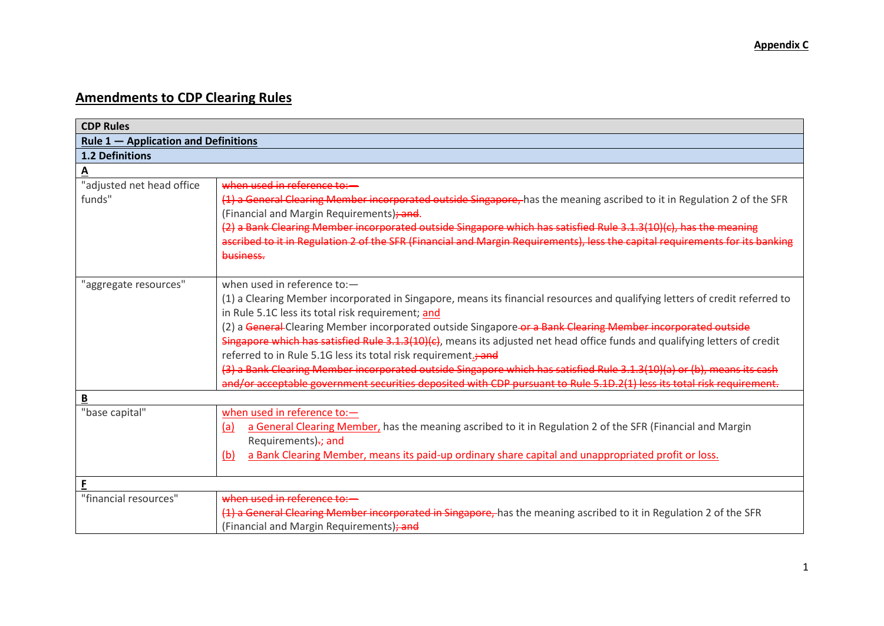# **Amendments to CDP Clearing Rules**

| <b>CDP Rules</b>                       |                                                                                                                                                                                                                                                                                                                                                                                                                                                                                                                                                                                                                                                                                                                                                                                    |
|----------------------------------------|------------------------------------------------------------------------------------------------------------------------------------------------------------------------------------------------------------------------------------------------------------------------------------------------------------------------------------------------------------------------------------------------------------------------------------------------------------------------------------------------------------------------------------------------------------------------------------------------------------------------------------------------------------------------------------------------------------------------------------------------------------------------------------|
| Rule $1 -$ Application and Definitions |                                                                                                                                                                                                                                                                                                                                                                                                                                                                                                                                                                                                                                                                                                                                                                                    |
| <b>1.2 Definitions</b>                 |                                                                                                                                                                                                                                                                                                                                                                                                                                                                                                                                                                                                                                                                                                                                                                                    |
| <u>A</u>                               |                                                                                                                                                                                                                                                                                                                                                                                                                                                                                                                                                                                                                                                                                                                                                                                    |
| "adjusted net head office<br>funds"    | when used in reference to:-<br>(1) a General Clearing Member incorporated outside Singapore, has the meaning ascribed to it in Regulation 2 of the SFR<br>(Financial and Margin Requirements); and.<br>(2) a Bank Clearing Member incorporated outside Singapore which has satisfied Rule 3.1.3(10)(c), has the meaning<br>ascribed to it in Regulation 2 of the SFR (Financial and Margin Requirements), less the capital requirements for its banking<br>business.                                                                                                                                                                                                                                                                                                               |
| "aggregate resources"                  | when used in reference to:-<br>(1) a Clearing Member incorporated in Singapore, means its financial resources and qualifying letters of credit referred to<br>in Rule 5.1C less its total risk requirement; and<br>(2) a General-Clearing Member incorporated outside Singapore-or a Bank Clearing Member incorporated outside<br>Singapore which has satisfied Rule 3.1.3(10)(c), means its adjusted net head office funds and qualifying letters of credit<br>referred to in Rule 5.1G less its total risk requirement.; and<br>(3) a Bank Clearing Member incorporated outside Singapore which has satisfied Rule 3.1.3(10)(a) or (b), means its cash<br>and/or acceptable government securities deposited with CDP pursuant to Rule 5.1D.2(1) less its total risk requirement. |
| $\underline{\mathbf{B}}$               |                                                                                                                                                                                                                                                                                                                                                                                                                                                                                                                                                                                                                                                                                                                                                                                    |
| "base capital"                         | when used in reference to:-<br>a General Clearing Member, has the meaning ascribed to it in Regulation 2 of the SFR (Financial and Margin<br>(a)<br>Requirements)-; and<br>a Bank Clearing Member, means its paid-up ordinary share capital and unappropriated profit or loss.<br>(b)                                                                                                                                                                                                                                                                                                                                                                                                                                                                                              |
| E                                      |                                                                                                                                                                                                                                                                                                                                                                                                                                                                                                                                                                                                                                                                                                                                                                                    |
| "financial resources"                  | when used in reference to:-<br>(1) a General Clearing Member incorporated in Singapore, has the meaning ascribed to it in Regulation 2 of the SFR<br>(Financial and Margin Requirements); and                                                                                                                                                                                                                                                                                                                                                                                                                                                                                                                                                                                      |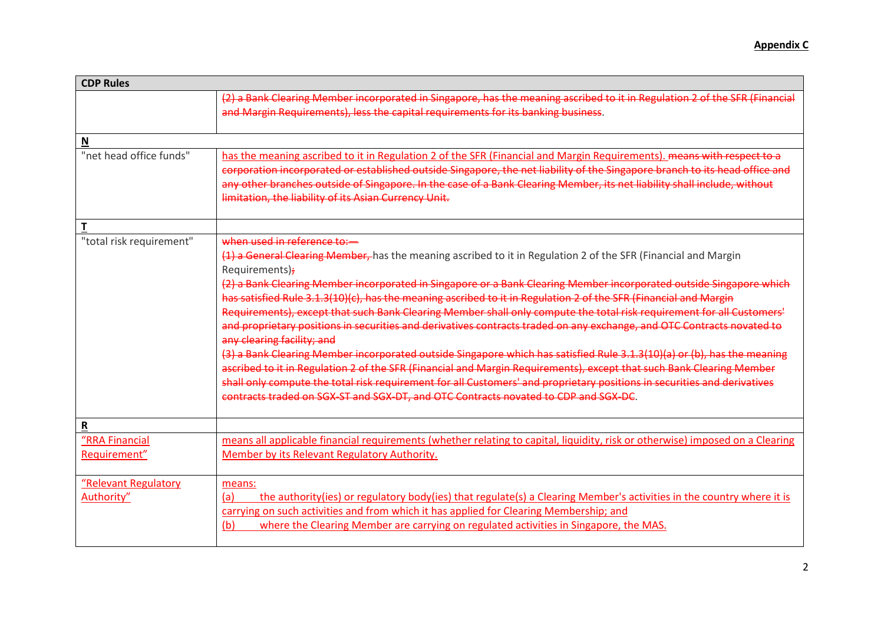| <b>CDP Rules</b>                   |                                                                                                                                                                                                                                                                                                                                                                                                                                                                                                                                                                                                                                                                                                                                                                                                                                                                                                                                                                                                                                                                                                                                                                   |
|------------------------------------|-------------------------------------------------------------------------------------------------------------------------------------------------------------------------------------------------------------------------------------------------------------------------------------------------------------------------------------------------------------------------------------------------------------------------------------------------------------------------------------------------------------------------------------------------------------------------------------------------------------------------------------------------------------------------------------------------------------------------------------------------------------------------------------------------------------------------------------------------------------------------------------------------------------------------------------------------------------------------------------------------------------------------------------------------------------------------------------------------------------------------------------------------------------------|
|                                    | (2) a Bank Clearing Member incorporated in Singapore, has the meaning ascribed to it in Regulation 2 of the SFR (Financial<br>and Margin Requirements), less the capital requirements for its banking business.                                                                                                                                                                                                                                                                                                                                                                                                                                                                                                                                                                                                                                                                                                                                                                                                                                                                                                                                                   |
| $\mathbf N$                        |                                                                                                                                                                                                                                                                                                                                                                                                                                                                                                                                                                                                                                                                                                                                                                                                                                                                                                                                                                                                                                                                                                                                                                   |
| "net head office funds"            | has the meaning ascribed to it in Regulation 2 of the SFR (Financial and Margin Requirements), means with respect to a<br>corporation incorporated or established outside Singapore, the net liability of the Singapore branch to its head office and<br>any other branches outside of Singapore. In the case of a Bank Clearing Member, its net liability shall include, without<br>limitation, the liability of its Asian Currency Unit.                                                                                                                                                                                                                                                                                                                                                                                                                                                                                                                                                                                                                                                                                                                        |
| T                                  |                                                                                                                                                                                                                                                                                                                                                                                                                                                                                                                                                                                                                                                                                                                                                                                                                                                                                                                                                                                                                                                                                                                                                                   |
| "total risk requirement"           | when used in reference to:-<br>(1) a General Clearing Member, has the meaning ascribed to it in Regulation 2 of the SFR (Financial and Margin<br>Requirements);<br>(2) a Bank Clearing Member incorporated in Singapore or a Bank Clearing Member incorporated outside Singapore which<br>has satisfied Rule 3.1.3(10)(c), has the meaning ascribed to it in Regulation 2 of the SFR (Financial and Margin<br>Requirements), except that such Bank Clearing Member shall only compute the total risk requirement for all Customers'<br>and proprietary positions in securities and derivatives contracts traded on any exchange, and OTC Contracts novated to<br>any clearing facility; and<br>(3) a Bank Clearing Member incorporated outside Singapore which has satisfied Rule 3.1.3(10)(a) or (b), has the meaning<br>ascribed to it in Regulation 2 of the SFR (Financial and Margin Requirements), except that such Bank Clearing Member<br>shall only compute the total risk requirement for all Customers' and proprietary positions in securities and derivatives<br>contracts traded on SGX-ST and SGX-DT, and OTC Contracts novated to CDP and SGX-DC. |
| $\mathbf R$                        |                                                                                                                                                                                                                                                                                                                                                                                                                                                                                                                                                                                                                                                                                                                                                                                                                                                                                                                                                                                                                                                                                                                                                                   |
| "RRA Financial<br>Requirement"     | means all applicable financial requirements (whether relating to capital, liquidity, risk or otherwise) imposed on a Clearing<br>Member by its Relevant Regulatory Authority.                                                                                                                                                                                                                                                                                                                                                                                                                                                                                                                                                                                                                                                                                                                                                                                                                                                                                                                                                                                     |
| "Relevant Regulatory<br>Authority" | means:<br>the authority(ies) or regulatory body(ies) that regulate(s) a Clearing Member's activities in the country where it is<br>(a)<br>carrying on such activities and from which it has applied for Clearing Membership; and<br>where the Clearing Member are carrying on regulated activities in Singapore, the MAS.<br>(b)                                                                                                                                                                                                                                                                                                                                                                                                                                                                                                                                                                                                                                                                                                                                                                                                                                  |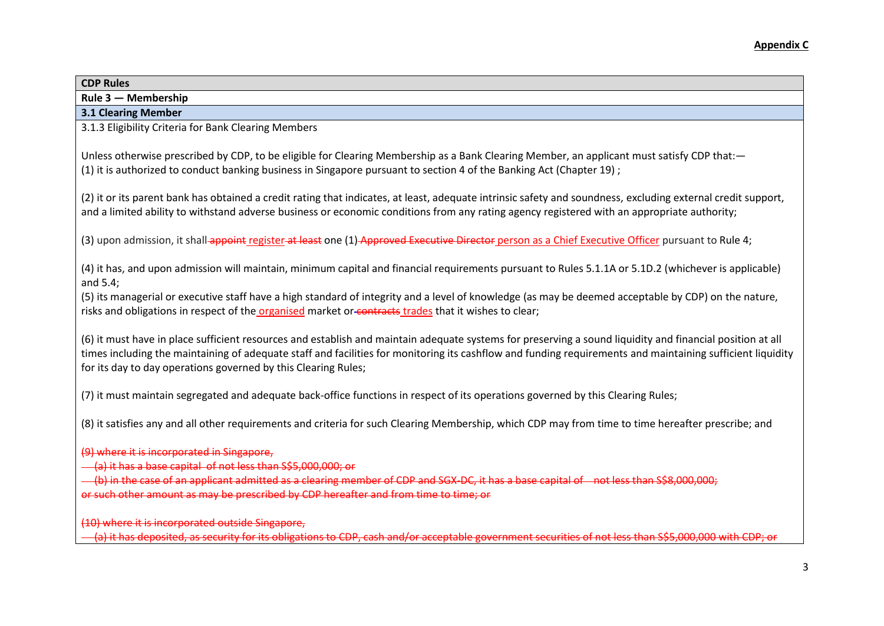| Rule 3 - Membership                                                                                                                                                                                                                                                                                                                                                                       |
|-------------------------------------------------------------------------------------------------------------------------------------------------------------------------------------------------------------------------------------------------------------------------------------------------------------------------------------------------------------------------------------------|
| <b>3.1 Clearing Member</b>                                                                                                                                                                                                                                                                                                                                                                |
| 3.1.3 Eligibility Criteria for Bank Clearing Members                                                                                                                                                                                                                                                                                                                                      |
| Unless otherwise prescribed by CDP, to be eligible for Clearing Membership as a Bank Clearing Member, an applicant must satisfy CDP that:-<br>(1) it is authorized to conduct banking business in Singapore pursuant to section 4 of the Banking Act (Chapter 19);                                                                                                                        |
| (2) it or its parent bank has obtained a credit rating that indicates, at least, adequate intrinsic safety and soundness, excluding external credit support,<br>and a limited ability to withstand adverse business or economic conditions from any rating agency registered with an appropriate authority;                                                                               |
| (3) upon admission, it shall-appoint register-at least one (1) Approved Executive Director person as a Chief Executive Officer pursuant to Rule 4;                                                                                                                                                                                                                                        |
| (4) it has, and upon admission will maintain, minimum capital and financial requirements pursuant to Rules 5.1.1A or 5.1D.2 (whichever is applicable)<br>and 5.4;                                                                                                                                                                                                                         |
| (5) its managerial or executive staff have a high standard of integrity and a level of knowledge (as may be deemed acceptable by CDP) on the nature,<br>risks and obligations in respect of the organised market or-contracts trades that it wishes to clear;                                                                                                                             |
| (6) it must have in place sufficient resources and establish and maintain adequate systems for preserving a sound liquidity and financial position at all<br>times including the maintaining of adequate staff and facilities for monitoring its cashflow and funding requirements and maintaining sufficient liquidity<br>for its day to day operations governed by this Clearing Rules; |
| (7) it must maintain segregated and adequate back-office functions in respect of its operations governed by this Clearing Rules;                                                                                                                                                                                                                                                          |
| (8) it satisfies any and all other requirements and criteria for such Clearing Membership, which CDP may from time to time hereafter prescribe; and                                                                                                                                                                                                                                       |
| (9) where it is incorporated in Singapore,<br>(a) it has a base capital of not less than S\$5,000,000; or<br>(b) in the case of an applicant admitted as a clearing member of CDP and SGX-DC, it has a base capital of not less than S\$8,000,000;<br>or such other amount as may be prescribed by CDP hereafter and from time to time; or                                                |

(10) where it is incorporated outside Singapore, (a) it has deposited, as security for its obligations to CDP, cash and/or acceptable government securities of not less than S\$5,000,000 with CDP; or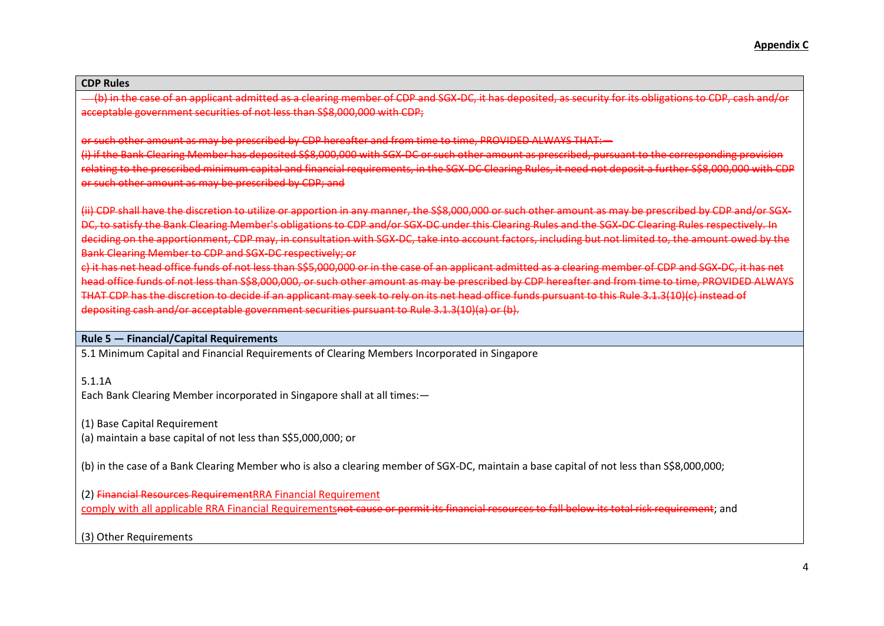(b) in the case of an applicant admitted as a clearing member of CDP and SGX-DC, it has deposited, as security for its obligations to CDP, cash and/or acceptable government securities of not less than S\$8,000,000 with CDP;

or such other amount as may be prescribed by CDP hereafter and from time to time, PROVIDED ALWAYS THAT:—

(i) if the Bank Clearing Member has deposited S\$8,000,000 with SGX-DC or such other amount as prescribed, pursuant to the corresponding provision relating to the prescribed minimum capital and financial requirements, in the SGX-DC Clearing Rules, it need not deposit a further S\$8,000,000 with CDP or such other amount as may be prescribed by CDP; and

(ii) CDP shall have the discretion to utilize or apportion in any manner, the S\$8,000,000 or such other amount as may be prescribed by CDP and/or SGX-DC, to satisfy the Bank Clearing Member's obligations to CDP and/or SGX-DC under this Clearing Rules and the SGX-DC Clearing Rules respectively. In deciding on the apportionment, CDP may, in consultation with SGX-DC, take into account factors, including but not limited to, the amount owed by the Bank Clearing Member to CDP and SGX-DC respectively; or

c) it has net head office funds of not less than S\$5,000,000 or in the case of an applicant admitted as a clearing member of CDP and SGX-DC, it has net head office funds of not less than S\$8,000,000, or such other amount as may be prescribed by CDP hereafter and from time to time, PROVIDED ALWAYS THAT CDP has the discretion to decide if an applicant may seek to rely on its net head office funds pursuant to this Rule 3.1.3(10)(c) instead of depositing cash and/or acceptable government securities pursuant to Rule 3.1.3(10)(a) or (b).

## **Rule 5 — Financial/Capital Requirements**

5.1 Minimum Capital and Financial Requirements of Clearing Members Incorporated in Singapore

5.1.1A

Each Bank Clearing Member incorporated in Singapore shall at all times:—

(1) Base Capital Requirement

(a) maintain a base capital of not less than S\$5,000,000; or

(b) in the case of a Bank Clearing Member who is also a clearing member of SGX-DC, maintain a base capital of not less than S\$8,000,000;

(2) Financial Resources RequirementRRA Financial Requirement comply with all applicable RRA Financial Requirementsnot cause or permit its financial resources to fall below its total risk requirement; and

(3) Other Requirements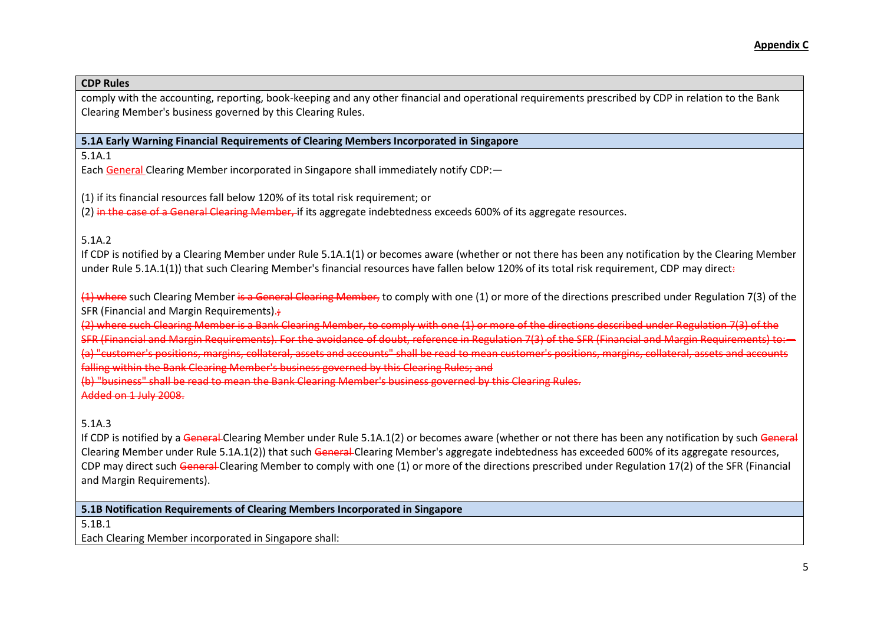comply with the accounting, reporting, book-keeping and any other financial and operational requirements prescribed by CDP in relation to the Bank Clearing Member's business governed by this Clearing Rules.

## **5.1A Early Warning Financial Requirements of Clearing Members Incorporated in Singapore**

5.1A.1

Each General Clearing Member incorporated in Singapore shall immediately notify CDP:—

(1) if its financial resources fall below 120% of its total risk requirement; or

(2) in the case of a General Clearing Member, if its aggregate indebtedness exceeds 600% of its aggregate resources.

# 5.1A.2

If CDP is notified by a Clearing Member under Rule 5.1A.1(1) or becomes aware (whether or not there has been any notification by the Clearing Member under Rule 5.1A.1(1)) that such Clearing Member's financial resources have fallen below 120% of its total risk requirement, CDP may direct÷

(1) where such Clearing Member is a General Clearing Member, to comply with one (1) or more of the directions prescribed under Regulation 7(3) of the SFR (Financial and Margin Requirements).

(2) where such Clearing Member is a Bank Clearing Member, to comply with one (1) or more of the directions described under Regulation 7(3) of the

SFR (Financial and Margin Requirements). For the avoidance of doubt, reference in Regulation 7(3) of the SFR (Financial and Margin Requirements) to:—

(a) "customer's positions, margins, collateral, assets and accounts" shall be read to mean customer's positions, margins, collateral, assets and accounts

falling within the Bank Clearing Member's business governed by this Clearing Rules; and

(b) "business" shall be read to mean the Bank Clearing Member's business governed by this Clearing Rules.

# Added on 1 July 2008.

# 5.1A.3

If CDP is notified by a General-Clearing Member under Rule 5.1A.1(2) or becomes aware (whether or not there has been any notification by such General Clearing Member under Rule 5.1A.1(2)) that such General-Clearing Member's aggregate indebtedness has exceeded 600% of its aggregate resources. CDP may direct such General-Clearing Member to comply with one (1) or more of the directions prescribed under Regulation 17(2) of the SFR (Financial and Margin Requirements).

**5.1B Notification Requirements of Clearing Members Incorporated in Singapore**

5.1B.1

Each Clearing Member incorporated in Singapore shall: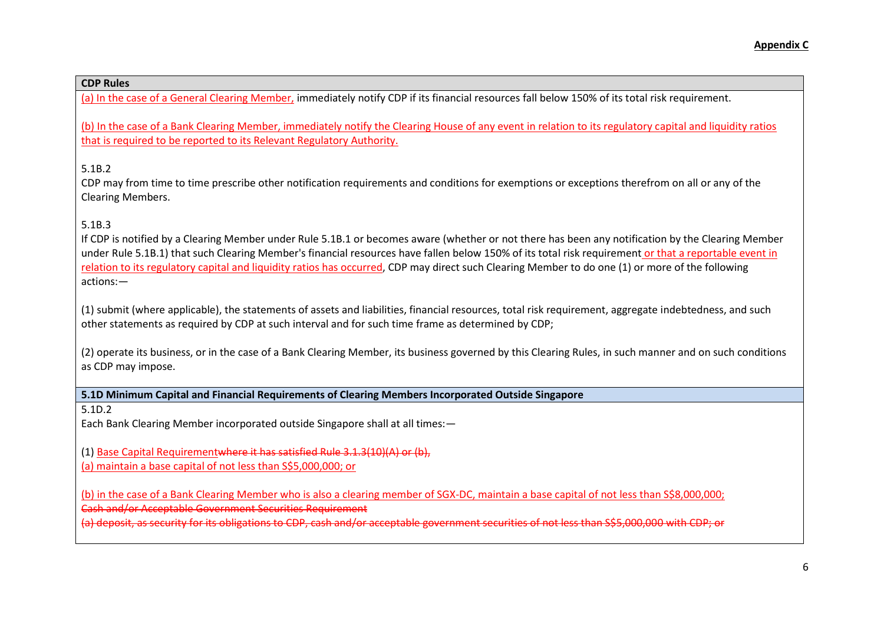(a) In the case of a General Clearing Member, immediately notify CDP if its financial resources fall below 150% of its total risk requirement.

(b) In the case of a Bank Clearing Member, immediately notify the Clearing House of any event in relation to its regulatory capital and liquidity ratios that is required to be reported to its Relevant Regulatory Authority.

5.1B.2

CDP may from time to time prescribe other notification requirements and conditions for exemptions or exceptions therefrom on all or any of the Clearing Members.

# 5.1B.3

If CDP is notified by a Clearing Member under Rule 5.1B.1 or becomes aware (whether or not there has been any notification by the Clearing Member under Rule 5.1B.1) that such Clearing Member's financial resources have fallen below 150% of its total risk requirement or that a reportable event in relation to its regulatory capital and liquidity ratios has occurred, CDP may direct such Clearing Member to do one (1) or more of the following actions:—

(1) submit (where applicable), the statements of assets and liabilities, financial resources, total risk requirement, aggregate indebtedness, and such other statements as required by CDP at such interval and for such time frame as determined by CDP;

(2) operate its business, or in the case of a Bank Clearing Member, its business governed by this Clearing Rules, in such manner and on such conditions as CDP may impose.

**5.1D Minimum Capital and Financial Requirements of Clearing Members Incorporated Outside Singapore**

5.1D.2

Each Bank Clearing Member incorporated outside Singapore shall at all times:—

(1) Base Capital Requirementwhere it has satisfied Rule 3.1.3(10)(A) or (b),

(a) maintain a base capital of not less than S\$5,000,000; or

(b) in the case of a Bank Clearing Member who is also a clearing member of SGX-DC, maintain a base capital of not less than S\$8,000,000; Cash and/or Acceptable Government Securities Requirement

(a) deposit, as security for its obligations to CDP, cash and/or acceptable government securities of not less than S\$5,000,000 with CDP; or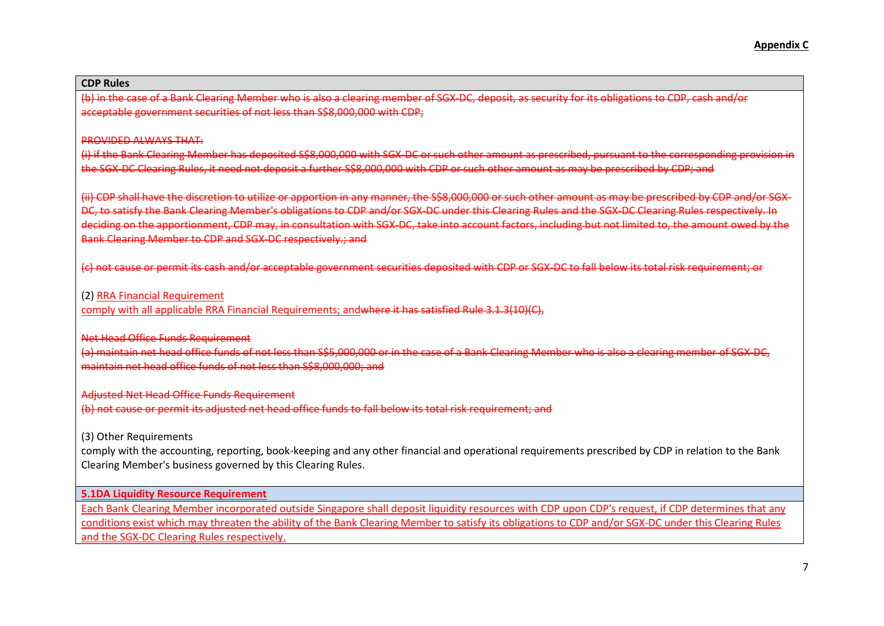#### **CDP Rules**

(b) in the case of a Bank Clearing Member who is also a clearing member of SGX-DC, deposit, as security for its obligations to CDP, cash and/or acceptable government securities of not less than S\$8,000,000 with CDP;

#### PROVIDED ALWAYS THAT:

(i) if the Bank Clearing Member has deposited S\$8,000,000 with SGX-DC or such other amount as prescribed, pursuant to the corresponding provision in the SGX-DC Clearing Rules, it need not deposit a further S\$8,000,000 with CDP or such other amount as may be prescribed by CDP; and

(ii) CDP shall have the discretion to utilize or apportion in any manner, the S\$8,000,000 or such other amount as may be prescribed by CDP and/or SGX-DC, to satisfy the Bank Clearing Member's obligations to CDP and/or SGX-DC under this Clearing Rules and the SGX-DC Clearing Rules respectively. In deciding on the apportionment, CDP may, in consultation with SGX-DC, take into account factors, including but not limited to, the amount owed by the Bank Clearing Member to CDP and SGX-DC respectively.; and

(c) not cause or permit its cash and/or acceptable government securities deposited with CDP or SGX-DC to fall below its total risk requirement; or

#### (2) RRA Financial Requirement

comply with all applicable RRA Financial Requirements; andwhere it has satisfied Rule 3.1.3(10)(C),

#### Net Head Office Funds Requirement

(a) maintain net head office funds of not less than S\$5,000,000 or in the case of a Bank Clearing Member who is also a clearing member of SGX-DC, maintain net head office funds of not less than S\$8,000,000; and

#### Adjusted Net Head Office Funds Requirement

(b) not cause or permit its adjusted net head office funds to fall below its total risk requirement; and

(3) Other Requirements

comply with the accounting, reporting, book-keeping and any other financial and operational requirements prescribed by CDP in relation to the Bank Clearing Member's business governed by this Clearing Rules.

## **5.1DA Liquidity Resource Requirement**

Each Bank Clearing Member incorporated outside Singapore shall deposit liquidity resources with CDP upon CDP's request, if CDP determines that any conditions exist which may threaten the ability of the Bank Clearing Member to satisfy its obligations to CDP and/or SGX-DC under this Clearing Rules and the SGX-DC Clearing Rules respectively.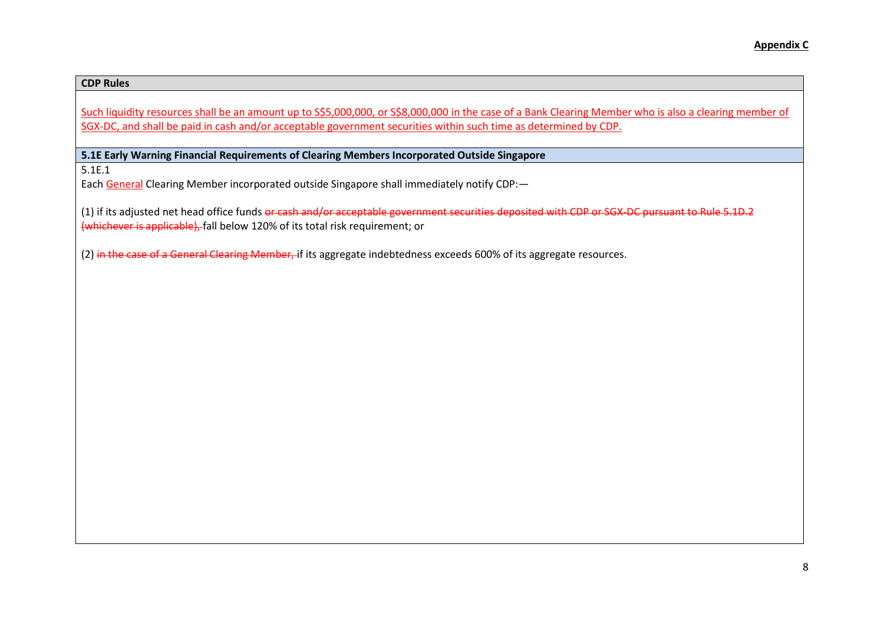### **CDP Rules**

Such liquidity resources shall be an amount up to S\$5,000,000, or S\$8,000,000 in the case of a Bank Clearing Member who is also a clearing member of SGX-DC, and shall be paid in cash and/or acceptable government securities within such time as determined by CDP.

**5.1E Early Warning Financial Requirements of Clearing Members Incorporated Outside Singapore**

5.1E.1

Each General Clearing Member incorporated outside Singapore shall immediately notify CDP:-

(1) if its adjusted net head office funds or cash and/or acceptable government securities deposited with CDP or SGX-DC pursuant to Rule 5.1D.2 (whichever is applicable), fall below 120% of its total risk requirement; or

(2) in the case of a General Clearing Member, if its aggregate indebtedness exceeds 600% of its aggregate resources.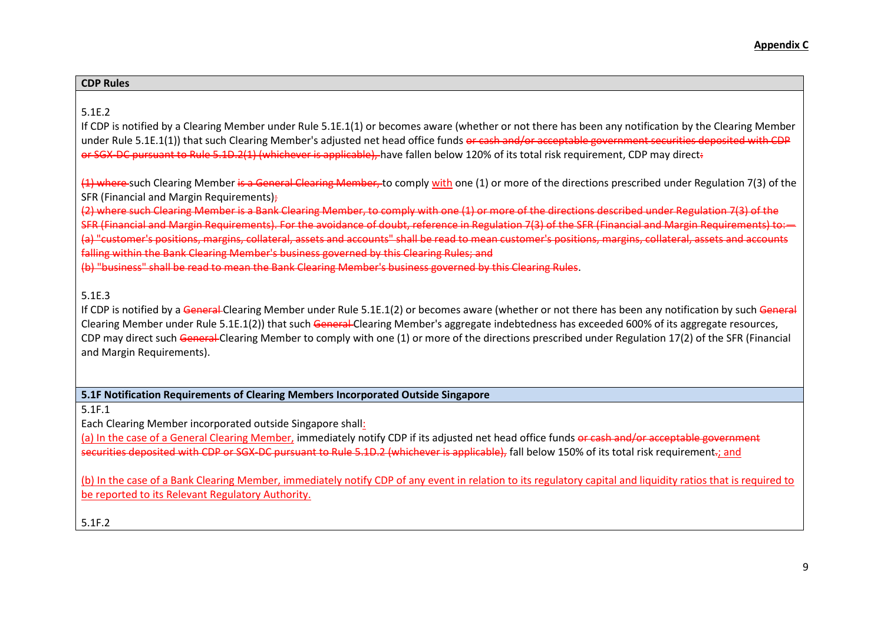| <b>Rules</b><br>___ |  |  |
|---------------------|--|--|
|                     |  |  |

# 5.1E.2

If CDP is notified by a Clearing Member under Rule 5.1E.1(1) or becomes aware (whether or not there has been any notification by the Clearing Member under Rule 5.1E.1(1)) that such Clearing Member's adjusted net head office funds or cash and/or acceptable government securities deposited with CDP or SGX-DC pursuant to Rule 5.1D.2(1) (whichever is applicable), have fallen below 120% of its total risk requirement, CDP may direct.

(4) where-such Clearing Member is a General Clearing Member, to comply with one (1) or more of the directions prescribed under Regulation 7(3) of the SFR (Financial and Margin Requirements);

(2) where such Clearing Member is a Bank Clearing Member, to comply with one (1) or more of the directions described under Regulation 7(3) of the

SFR (Financial and Margin Requirements). For the avoidance of doubt, reference in Regulation 7(3) of the SFR (Financial and Margin Requirements) to:— (a) "customer's positions, margins, collateral, assets and accounts" shall be read to mean customer's positions, margins, collateral, assets and accounts falling within the Bank Clearing Member's business governed by this Clearing Rules; and

(b) "business" shall be read to mean the Bank Clearing Member's business governed by this Clearing Rules.

# 5.1E.3

If CDP is notified by a General-Clearing Member under Rule 5.1E.1(2) or becomes aware (whether or not there has been any notification by such General Clearing Member under Rule 5.1E.1(2)) that such General-Clearing Member's aggregate indebtedness has exceeded 600% of its aggregate resources, CDP may direct such General-Clearing Member to comply with one (1) or more of the directions prescribed under Regulation 17(2) of the SFR (Financial and Margin Requirements).

**5.1F Notification Requirements of Clearing Members Incorporated Outside Singapore**

5.1F.1

Each Clearing Member incorporated outside Singapore shall:

(a) In the case of a General Clearing Member, immediately notify CDP if its adjusted net head office funds or cash and/or acceptable government securities deposited with CDP or SGX-DC pursuant to Rule 5.1D.2 (whichever is applicable), fall below 150% of its total risk requirement.; and

(b) In the case of a Bank Clearing Member, immediately notify CDP of any event in relation to its regulatory capital and liquidity ratios that is required to be reported to its Relevant Regulatory Authority.

5.1F.2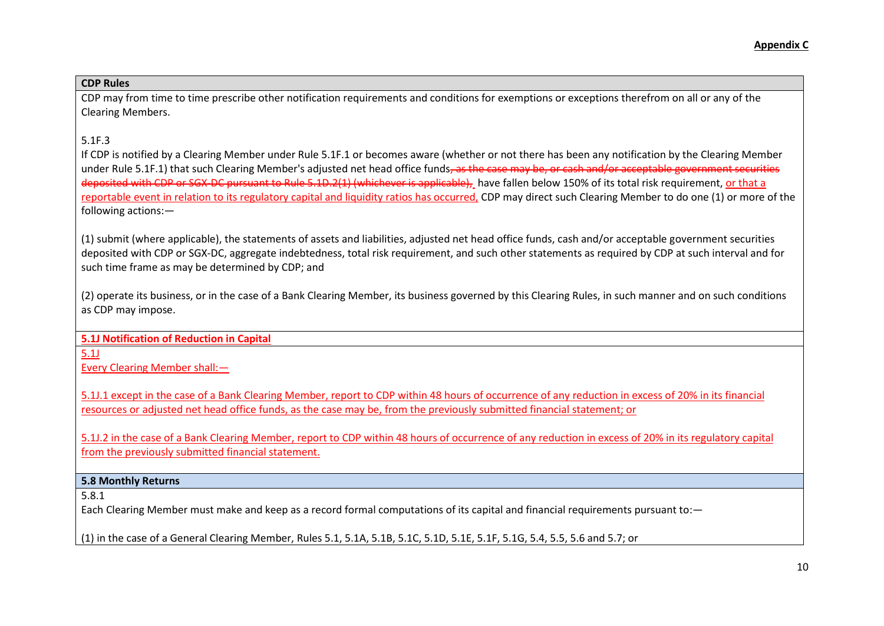CDP may from time to time prescribe other notification requirements and conditions for exemptions or exceptions therefrom on all or any of the Clearing Members.

# 5.1F.3

If CDP is notified by a Clearing Member under Rule 5.1F.1 or becomes aware (whether or not there has been any notification by the Clearing Member under Rule 5.1F.1) that such Clearing Member's adjusted net head office funds<del>, as the case may be, or cash and/or acceptable government securities</del> deposited with CDP or SGX-DC pursuant to Rule 5.1D.2(1) (whichever is applicable), have fallen below 150% of its total risk requirement, or that a reportable event in relation to its regulatory capital and liquidity ratios has occurred, CDP may direct such Clearing Member to do one (1) or more of the following actions:—

(1) submit (where applicable), the statements of assets and liabilities, adjusted net head office funds, cash and/or acceptable government securities deposited with CDP or SGX-DC, aggregate indebtedness, total risk requirement, and such other statements as required by CDP at such interval and for such time frame as may be determined by CDP; and

(2) operate its business, or in the case of a Bank Clearing Member, its business governed by this Clearing Rules, in such manner and on such conditions as CDP may impose.

**5.1J Notification of Reduction in Capital** 

5.1J

Every Clearing Member shall:—

5.1J.1 except in the case of a Bank Clearing Member, report to CDP within 48 hours of occurrence of any reduction in excess of 20% in its financial resources or adjusted net head office funds, as the case may be, from the previously submitted financial statement; or

5.1J.2 in the case of a Bank Clearing Member, report to CDP within 48 hours of occurrence of any reduction in excess of 20% in its regulatory capital from the previously submitted financial statement.

## **5.8 Monthly Returns**

5.8.1

Each Clearing Member must make and keep as a record formal computations of its capital and financial requirements pursuant to:—

(1) in the case of a General Clearing Member, Rules 5.1, 5.1A, 5.1B, 5.1C, 5.1D, 5.1E, 5.1F, 5.1G, 5.4, 5.5, 5.6 and 5.7; or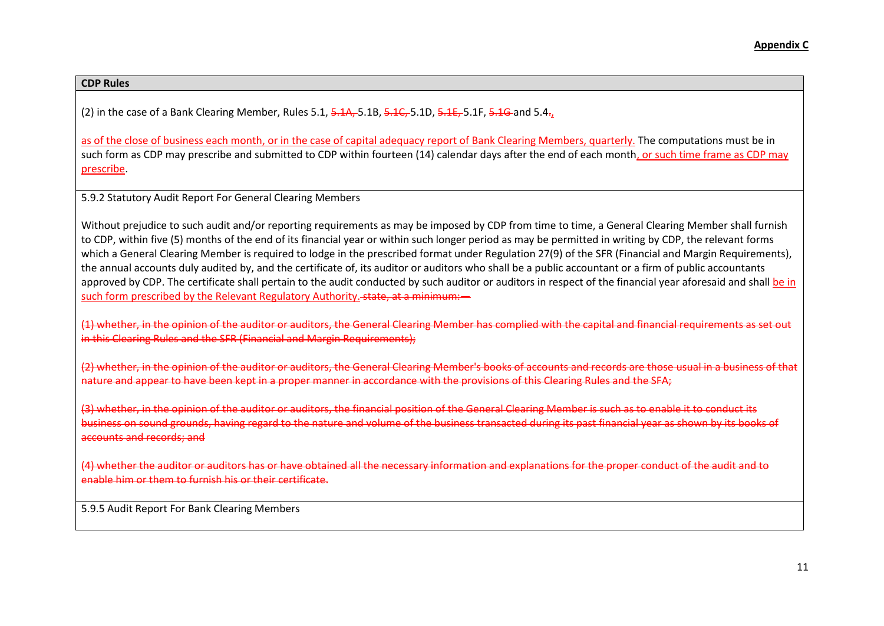(2) in the case of a Bank Clearing Member, Rules 5.1,  $\frac{1}{2}$ ,  $\frac{1}{2}$ ,  $\frac{1}{2}$ ,  $\frac{1}{2}$ ,  $\frac{1}{2}$ ,  $\frac{1}{2}$ ,  $\frac{1}{2}$ ,  $\frac{1}{2}$ ,  $\frac{1}{2}$ ,  $\frac{1}{2}$ ,  $\frac{1}{2}$ ,  $\frac{1}{2}$ ,  $\frac{1}{2}$ ,  $\frac{1}{2}$ ,  $\frac{1}{2}$ ,  $\$ 

as of the close of business each month, or in the case of capital adequacy report of Bank Clearing Members, quarterly. The computations must be in such form as CDP may prescribe and submitted to CDP within fourteen (14) calendar days after the end of each month, or such time frame as CDP may prescribe.

5.9.2 Statutory Audit Report For General Clearing Members

Without prejudice to such audit and/or reporting requirements as may be imposed by CDP from time to time, a General Clearing Member shall furnish to CDP, within five (5) months of the end of its financial year or within such longer period as may be permitted in writing by CDP, the relevant forms which a General Clearing Member is required to lodge in the prescribed format under Regulation 27(9) of the SFR (Financial and Margin Requirements), the annual accounts duly audited by, and the certificate of, its auditor or auditors who shall be a public accountant or a firm of public accountants approved by CDP. The certificate shall pertain to the audit conducted by such auditor or auditors in respect of the financial year aforesaid and shall be in such form prescribed by the Relevant Regulatory Authority. state, at a minimum:

(1) whether, in the opinion of the auditor or auditors, the General Clearing Member has complied with the capital and financial requirements as set out in this Clearing Rules and the SFR (Financial and Margin Requirements);

(2) whether, in the opinion of the auditor or auditors, the General Clearing Member's books of accounts and records are those usual in a business of that nature and appear to have been kept in a proper manner in accordance with the provisions of this Clearing Rules and the SFA;

(3) whether, in the opinion of the auditor or auditors, the financial position of the General Clearing Member is such as to enable it to conduct its business on sound grounds, having regard to the nature and volume of the business transacted during its past financial year as shown by its books of accounts and records; and

(4) whether the auditor or auditors has or have obtained all the necessary information and explanations for the proper conduct of the audit and to enable him or them to furnish his or their certificate.

5.9.5 Audit Report For Bank Clearing Members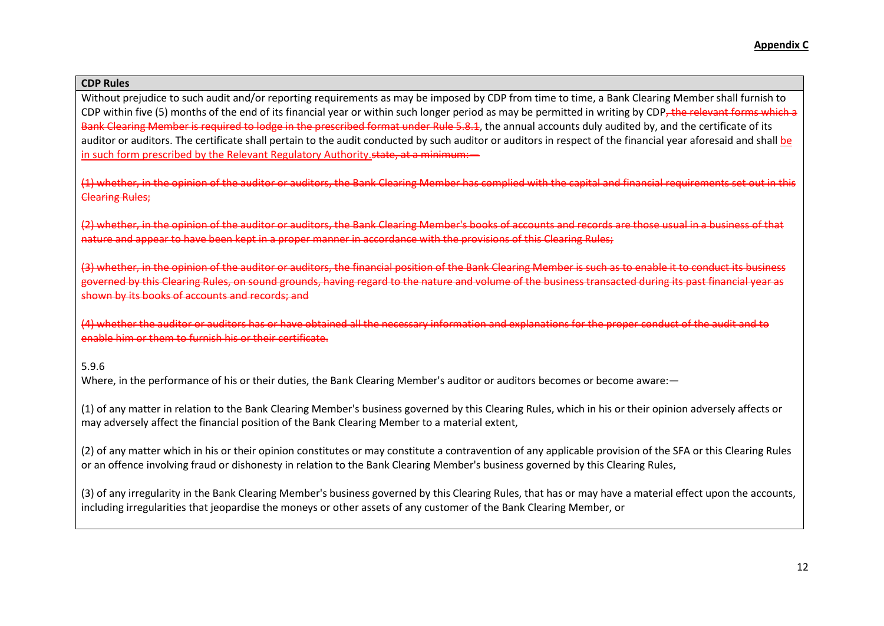Without prejudice to such audit and/or reporting requirements as may be imposed by CDP from time to time, a Bank Clearing Member shall furnish to CDP within five (5) months of the end of its financial year or within such longer period as may be permitted in writing by CDP, the relevant forms which a Bank Clearing Member is required to lodge in the prescribed format under Rule 5.8.1, the annual accounts duly audited by, and the certificate of its auditor or auditors. The certificate shall pertain to the audit conducted by such auditor or auditors in respect of the financial year aforesaid and shall be in such form prescribed by the Relevant Regulatory Authority. state, at a minimum:

(1) whether, in the opinion of the auditor or auditors, the Bank Clearing Member has complied with the capital and financial requirements set out in this Clearing Rules;

(2) whether, in the opinion of the auditor or auditors, the Bank Clearing Member's books of accounts and records are those usual in a business of that nature and appear to have been kept in a proper manner in accordance with the provisions of this Clearing Rules;

(3) whether, in the opinion of the auditor or auditors, the financial position of the Bank Clearing Member is such as to enable it to conduct its business governed by this Clearing Rules, on sound grounds, having regard to the nature and volume of the business transacted during its past financial year as shown by its books of accounts and records; and

(4) whether the auditor or auditors has or have obtained all the necessary information and explanations for the proper conduct of the audit and to enable him or them to furnish his or their certificate.

## 5.9.6

Where, in the performance of his or their duties, the Bank Clearing Member's auditor or auditors becomes or become aware:—

(1) of any matter in relation to the Bank Clearing Member's business governed by this Clearing Rules, which in his or their opinion adversely affects or may adversely affect the financial position of the Bank Clearing Member to a material extent,

(2) of any matter which in his or their opinion constitutes or may constitute a contravention of any applicable provision of the SFA or this Clearing Rules or an offence involving fraud or dishonesty in relation to the Bank Clearing Member's business governed by this Clearing Rules,

(3) of any irregularity in the Bank Clearing Member's business governed by this Clearing Rules, that has or may have a material effect upon the accounts, including irregularities that jeopardise the moneys or other assets of any customer of the Bank Clearing Member, or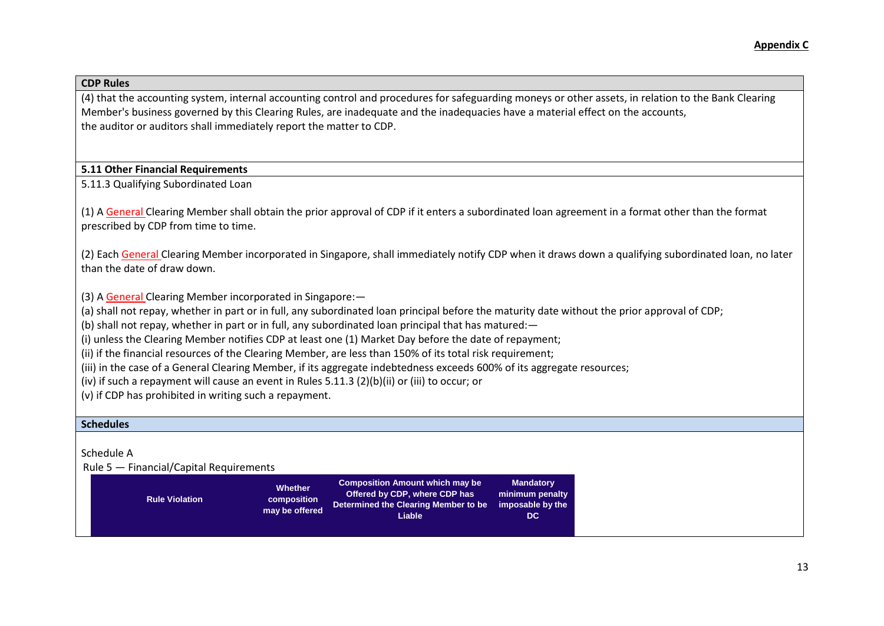(4) that the accounting system, internal accounting control and procedures for safeguarding moneys or other assets, in relation to the Bank Clearing Member's business governed by this Clearing Rules, are inadequate and the inadequacies have a material effect on the accounts, the auditor or auditors shall immediately report the matter to CDP.

## **5.11 Other Financial Requirements**

5.11.3 Qualifying Subordinated Loan

(1) A General Clearing Member shall obtain the prior approval of CDP if it enters a subordinated loan agreement in a format other than the format prescribed by CDP from time to time.

(2) Each General Clearing Member incorporated in Singapore, shall immediately notify CDP when it draws down a qualifying subordinated loan, no later than the date of draw down.

(3) A General Clearing Member incorporated in Singapore:—

(a) shall not repay, whether in part or in full, any subordinated loan principal before the maturity date without the prior approval of CDP;

(b) shall not repay, whether in part or in full, any subordinated loan principal that has matured:—

(i) unless the Clearing Member notifies CDP at least one (1) Market Day before the date of repayment;

(ii) if the financial resources of the Clearing Member, are less than 150% of its total risk requirement;

(iii) in the case of a General Clearing Member, if its aggregate indebtedness exceeds 600% of its aggregate resources;

(iv) if such a repayment will cause an event in [Rules 5.11.3](http://rulebook.sgx.com/en/display/display.html?rbid=3271&element_id=525) (2)(b)(ii) or (iii) to occur; or

(v) if CDP has prohibited in writing such a repayment.

## **Schedules**

Schedule A

Rule 5 — Financial/Capital Requirements

| <b>Rule Violation</b> | <b>Whether</b><br>composition<br>may be offered | <b>Composition Amount which may be</b><br>Offered by CDP, where CDP has<br>Determined the Clearing Member to be imposable by the<br>Liable | <b>Mandatory</b><br>minimum penalty<br>DC. |
|-----------------------|-------------------------------------------------|--------------------------------------------------------------------------------------------------------------------------------------------|--------------------------------------------|
|-----------------------|-------------------------------------------------|--------------------------------------------------------------------------------------------------------------------------------------------|--------------------------------------------|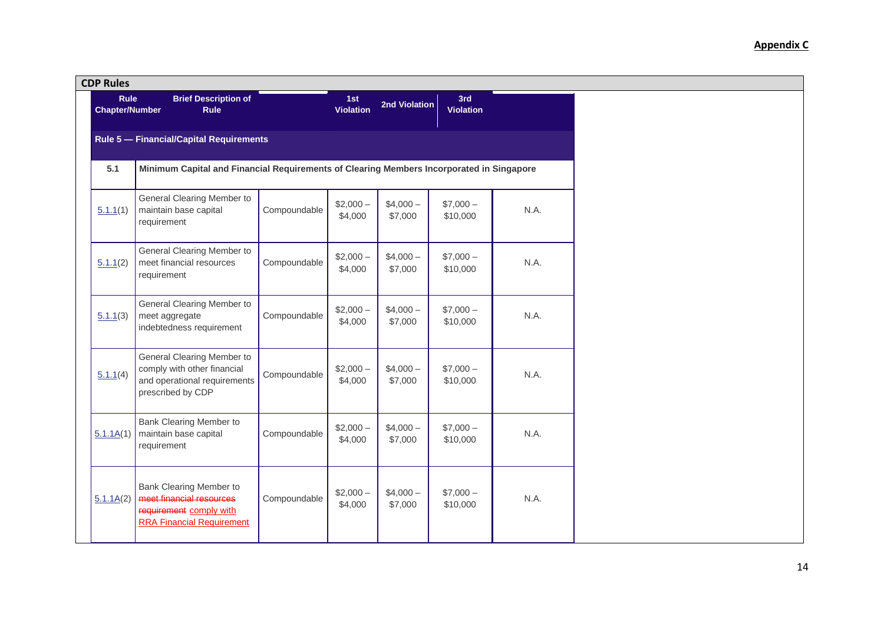| <b>CDP Rules</b>                     |                                                                                                                    |              |                      |                      |                       |      |
|--------------------------------------|--------------------------------------------------------------------------------------------------------------------|--------------|----------------------|----------------------|-----------------------|------|
| <b>Rule</b><br><b>Chapter/Number</b> | <b>Brief Description of</b><br><b>Rule</b>                                                                         |              | 1st<br>Violation     | 2nd Violation        | 3rd<br>Violation      |      |
|                                      | Rule 5 - Financial/Capital Requirements                                                                            |              |                      |                      |                       |      |
| 5.1                                  | Minimum Capital and Financial Requirements of Clearing Members Incorporated in Singapore                           |              |                      |                      |                       |      |
| 5.1.1(1)                             | General Clearing Member to<br>maintain base capital<br>requirement                                                 | Compoundable | $$2,000-$<br>\$4,000 | $$4,000-$<br>\$7,000 | $$7,000-$<br>\$10,000 | N.A. |
| 5.1.1(2)                             | General Clearing Member to<br>meet financial resources<br>requirement                                              | Compoundable | $$2,000-$<br>\$4,000 | $$4,000-$<br>\$7,000 | $$7,000-$<br>\$10,000 | N.A. |
| 5.1.1(3)                             | General Clearing Member to<br>meet aggregate<br>indebtedness requirement                                           | Compoundable | $$2,000-$<br>\$4,000 | $$4,000-$<br>\$7,000 | $$7,000-$<br>\$10,000 | N.A. |
| 5.1.1(4)                             | General Clearing Member to<br>comply with other financial<br>and operational requirements<br>prescribed by CDP     | Compoundable | $$2,000-$<br>\$4,000 | $$4,000-$<br>\$7,000 | $$7,000-$<br>\$10,000 | N.A. |
| 5.1.1A(1)                            | Bank Clearing Member to<br>maintain base capital<br>requirement                                                    | Compoundable | $$2,000-$<br>\$4,000 | $$4,000-$<br>\$7,000 | $$7,000-$<br>\$10,000 | N.A. |
| 5.1.1A(2)                            | Bank Clearing Member to<br>meet financial resources<br>requirement comply with<br><b>RRA Financial Requirement</b> | Compoundable | $$2,000-$<br>\$4,000 | $$4,000-$<br>\$7,000 | $$7,000-$<br>\$10,000 | N.A. |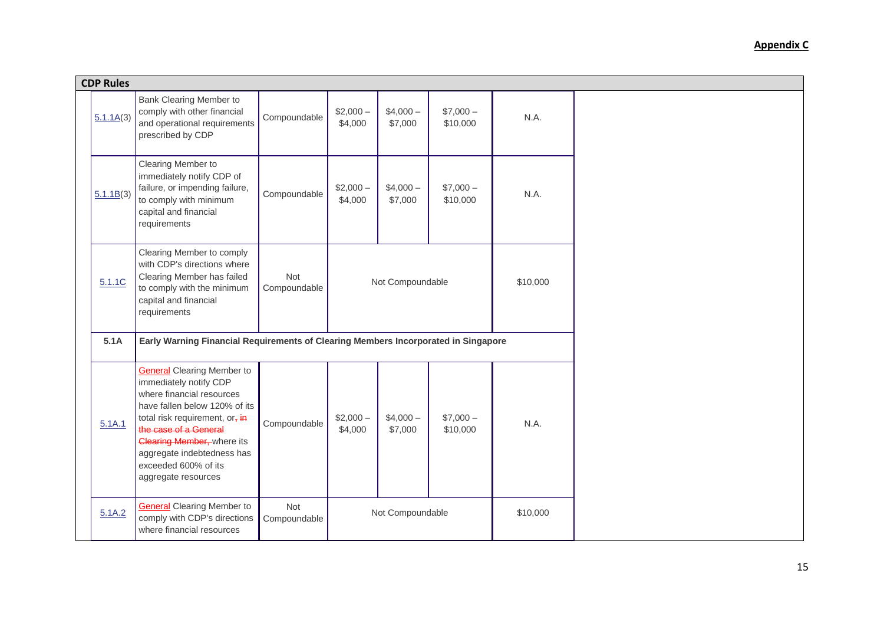| <b>CDP Rules</b> |                                                                                                                                                                                                                                                                                                        |                     |                      |                      |                       |          |
|------------------|--------------------------------------------------------------------------------------------------------------------------------------------------------------------------------------------------------------------------------------------------------------------------------------------------------|---------------------|----------------------|----------------------|-----------------------|----------|
| 5.1.1A(3)        | Bank Clearing Member to<br>comply with other financial<br>and operational requirements<br>prescribed by CDP                                                                                                                                                                                            | Compoundable        | $$2,000-$<br>\$4,000 | $$4,000-$<br>\$7,000 | $$7,000-$<br>\$10,000 | N.A.     |
| 5.1.1B(3)        | Clearing Member to<br>immediately notify CDP of<br>failure, or impending failure,<br>to comply with minimum<br>capital and financial<br>requirements                                                                                                                                                   | Compoundable        | $$2,000-$<br>\$4,000 | $$4,000-$<br>\$7,000 | $$7,000-$<br>\$10,000 | N.A.     |
| 5.1.1C           | Clearing Member to comply<br>with CDP's directions where<br>Clearing Member has failed<br>to comply with the minimum<br>capital and financial<br>requirements                                                                                                                                          | Not<br>Compoundable |                      | Not Compoundable     |                       | \$10,000 |
| 5.1A             | Early Warning Financial Requirements of Clearing Members Incorporated in Singapore                                                                                                                                                                                                                     |                     |                      |                      |                       |          |
| 5.1A.1           | <b>General Clearing Member to</b><br>immediately notify CDP<br>where financial resources<br>have fallen below 120% of its<br>total risk requirement, or, in<br>the case of a General<br><b>Clearing Member, where its</b><br>aggregate indebtedness has<br>exceeded 600% of its<br>aggregate resources | Compoundable        | $$2,000-$<br>\$4,000 | $$4,000-$<br>\$7,000 | $$7,000-$<br>\$10,000 | N.A.     |
| 5.1A.2           | <b>General</b> Clearing Member to<br>comply with CDP's directions<br>where financial resources                                                                                                                                                                                                         | Not<br>Compoundable |                      | Not Compoundable     |                       | \$10,000 |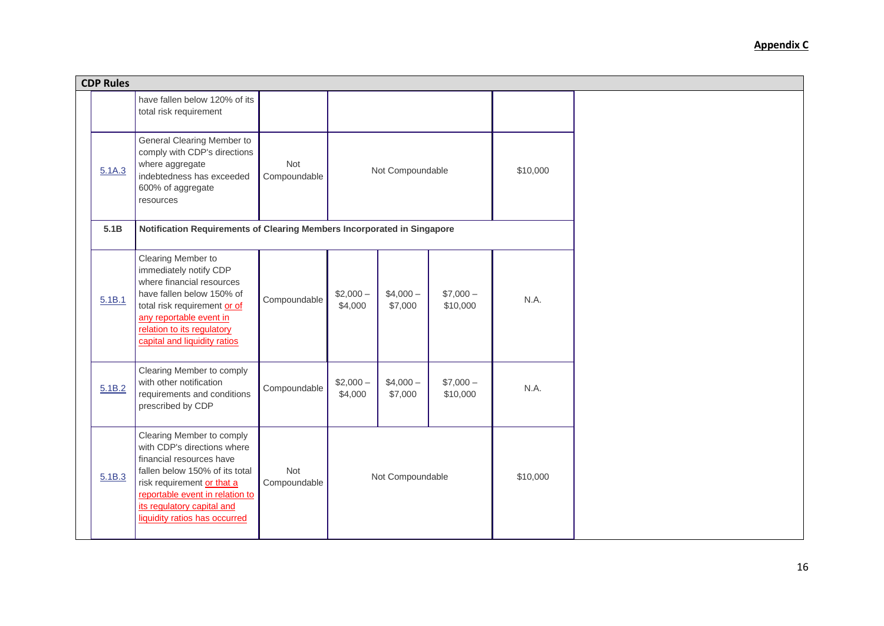| <b>CDP Rules</b> |                                                                                                                                                                                                                                                        |                     |                      |                      |                       |          |  |
|------------------|--------------------------------------------------------------------------------------------------------------------------------------------------------------------------------------------------------------------------------------------------------|---------------------|----------------------|----------------------|-----------------------|----------|--|
|                  | have fallen below 120% of its<br>total risk requirement                                                                                                                                                                                                |                     |                      |                      |                       |          |  |
| 5.1A.3           | General Clearing Member to<br>comply with CDP's directions<br>where aggregate<br>indebtedness has exceeded<br>600% of aggregate<br>resources                                                                                                           | Not<br>Compoundable | Not Compoundable     |                      |                       | \$10,000 |  |
| 5.1B             | Notification Requirements of Clearing Members Incorporated in Singapore                                                                                                                                                                                |                     |                      |                      |                       |          |  |
| 5.1B.1           | Clearing Member to<br>immediately notify CDP<br>where financial resources<br>have fallen below 150% of<br>total risk requirement or of<br>any reportable event in<br>relation to its regulatory<br>capital and liquidity ratios                        | Compoundable        | $$2,000-$<br>\$4,000 | $$4,000-$<br>\$7,000 | $$7,000-$<br>\$10,000 | N.A.     |  |
| 5.1B.2           | Clearing Member to comply<br>with other notification<br>requirements and conditions<br>prescribed by CDP                                                                                                                                               | Compoundable        | $$2,000-$<br>\$4,000 | $$4,000-$<br>\$7,000 | $$7,000-$<br>\$10,000 | N.A.     |  |
| 5.1B.3           | Clearing Member to comply<br>with CDP's directions where<br>financial resources have<br>fallen below 150% of its total<br>risk requirement or that a<br>reportable event in relation to<br>its regulatory capital and<br>liquidity ratios has occurred | Not<br>Compoundable |                      | Not Compoundable     |                       | \$10,000 |  |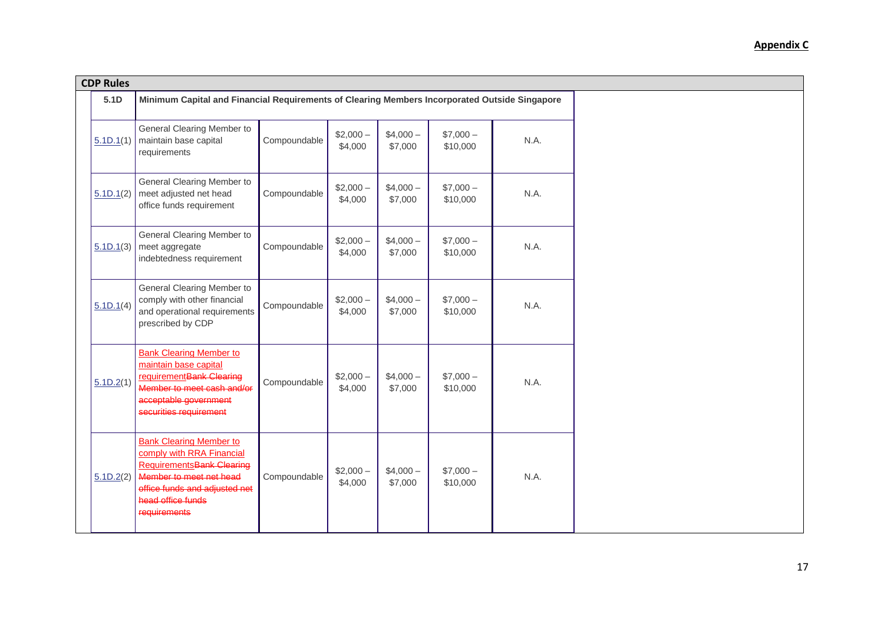| <b>CDP Rules</b> |                                                                                                                                                                                                  |              |                      |                      |                       |      |
|------------------|--------------------------------------------------------------------------------------------------------------------------------------------------------------------------------------------------|--------------|----------------------|----------------------|-----------------------|------|
| 5.1D             | Minimum Capital and Financial Requirements of Clearing Members Incorporated Outside Singapore                                                                                                    |              |                      |                      |                       |      |
| 5.1D.1(1)        | General Clearing Member to<br>maintain base capital<br>requirements                                                                                                                              | Compoundable | $$2,000-$<br>\$4,000 | $$4,000-$<br>\$7,000 | $$7,000-$<br>\$10,000 | N.A. |
| 5.1D.1(2)        | General Clearing Member to<br>meet adjusted net head<br>office funds requirement                                                                                                                 | Compoundable | $$2,000-$<br>\$4,000 | $$4,000-$<br>\$7,000 | $$7,000-$<br>\$10,000 | N.A. |
| 5.1D.1(3)        | General Clearing Member to<br>meet aggregate<br>indebtedness requirement                                                                                                                         | Compoundable | $$2,000-$<br>\$4,000 | $$4,000-$<br>\$7,000 | $$7,000-$<br>\$10,000 | N.A. |
| 5.1D.1(4)        | General Clearing Member to<br>comply with other financial<br>and operational requirements<br>prescribed by CDP                                                                                   | Compoundable | $$2,000-$<br>\$4,000 | $$4,000-$<br>\$7,000 | $$7,000-$<br>\$10,000 | N.A. |
| 5.1D.2(1)        | <b>Bank Clearing Member to</b><br>maintain base capital<br>requirement Bank Clearing<br>Member to meet cash and/or<br>acceptable government<br>securities requirement                            | Compoundable | $$2,000-$<br>\$4,000 | $$4,000-$<br>\$7,000 | $$7,000-$<br>\$10,000 | N.A. |
| 5.1D.2(2)        | <b>Bank Clearing Member to</b><br>comply with RRA Financial<br><b>RequirementsBank Clearing</b><br>Member to meet net head<br>office funds and adjusted net<br>head office funds<br>requirements | Compoundable | $$2,000-$<br>\$4,000 | $$4,000-$<br>\$7,000 | $$7,000-$<br>\$10,000 | N.A. |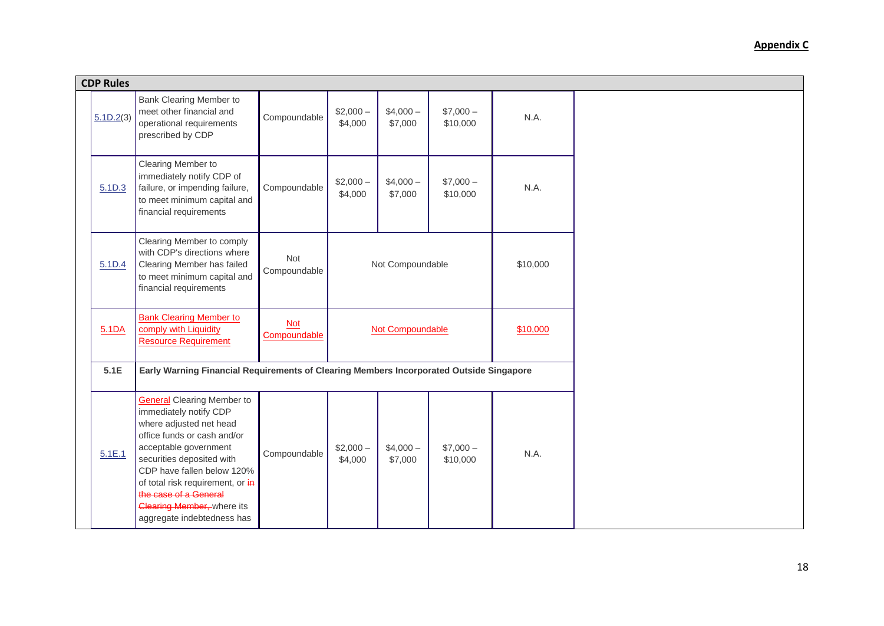| <b>CDP Rules</b> |                                                                                                                                                                                                                                                                                                                                           |                            |                      |                      |                       |          |  |
|------------------|-------------------------------------------------------------------------------------------------------------------------------------------------------------------------------------------------------------------------------------------------------------------------------------------------------------------------------------------|----------------------------|----------------------|----------------------|-----------------------|----------|--|
| 5.1D.2(3)        | Bank Clearing Member to<br>meet other financial and<br>operational requirements<br>prescribed by CDP                                                                                                                                                                                                                                      | Compoundable               | $$2,000-$<br>\$4,000 | $$4,000-$<br>\$7,000 | $$7,000-$<br>\$10,000 | N.A.     |  |
| 5.1D.3           | Clearing Member to<br>immediately notify CDP of<br>failure, or impending failure,<br>to meet minimum capital and<br>financial requirements                                                                                                                                                                                                | Compoundable               | $$2,000-$<br>\$4,000 | $$4,000-$<br>\$7,000 | $$7,000-$<br>\$10,000 | N.A.     |  |
| 5.1D.4           | Clearing Member to comply<br>with CDP's directions where<br>Clearing Member has failed<br>to meet minimum capital and<br>financial requirements                                                                                                                                                                                           | Not<br>Compoundable        |                      | Not Compoundable     |                       | \$10,000 |  |
| 5.1DA            | <b>Bank Clearing Member to</b><br>comply with Liquidity<br><b>Resource Requirement</b>                                                                                                                                                                                                                                                    | <b>Not</b><br>Compoundable | Not Compoundable     |                      |                       | \$10,000 |  |
| 5.1E             | Early Warning Financial Requirements of Clearing Members Incorporated Outside Singapore                                                                                                                                                                                                                                                   |                            |                      |                      |                       |          |  |
| 5.1E.1           | <b>General Clearing Member to</b><br>immediately notify CDP<br>where adjusted net head<br>office funds or cash and/or<br>acceptable government<br>securities deposited with<br>CDP have fallen below 120%<br>of total risk requirement, or in<br>the case of a General<br><b>Clearing Member, where its</b><br>aggregate indebtedness has | Compoundable               | $$2,000-$<br>\$4,000 | $$4,000-$<br>\$7,000 | $$7,000-$<br>\$10,000 | N.A.     |  |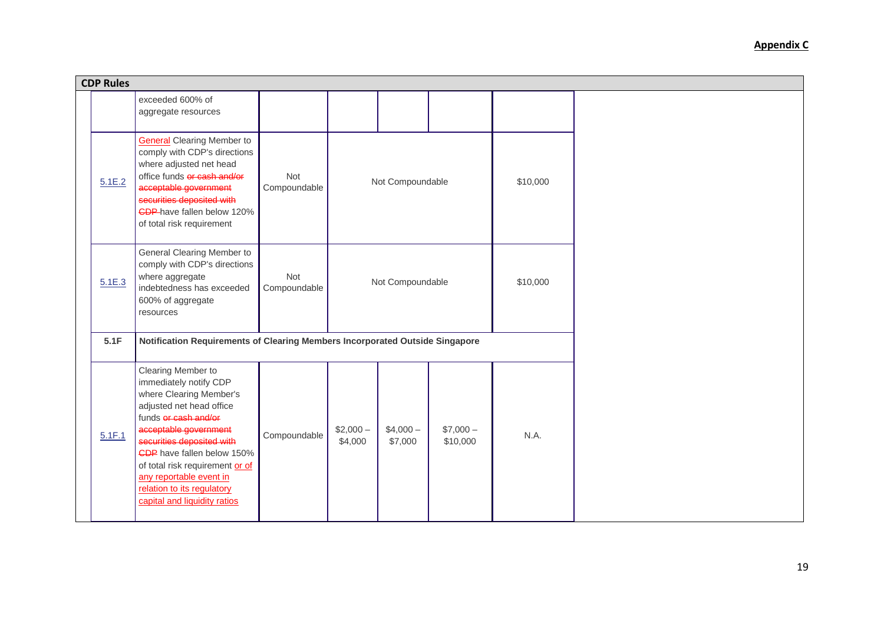| <b>CDP Rules</b> |                                                                                                                                                                                                                                                                                                                                             |                            |                      |                      |                       |          |  |
|------------------|---------------------------------------------------------------------------------------------------------------------------------------------------------------------------------------------------------------------------------------------------------------------------------------------------------------------------------------------|----------------------------|----------------------|----------------------|-----------------------|----------|--|
|                  | exceeded 600% of<br>aggregate resources                                                                                                                                                                                                                                                                                                     |                            |                      |                      |                       |          |  |
| 5.1E.2           | <b>General Clearing Member to</b><br>comply with CDP's directions<br>where adjusted net head<br>office funds or cash and/or<br>acceptable government<br>securities deposited with<br><b>CDP</b> -have fallen below 120%<br>of total risk requirement                                                                                        | <b>Not</b><br>Compoundable |                      | Not Compoundable     |                       | \$10,000 |  |
| 5.1E.3           | General Clearing Member to<br>comply with CDP's directions<br>where aggregate<br>indebtedness has exceeded<br>600% of aggregate<br>resources                                                                                                                                                                                                | Not<br>Compoundable        | Not Compoundable     |                      |                       | \$10,000 |  |
| 5.1F             | Notification Requirements of Clearing Members Incorporated Outside Singapore                                                                                                                                                                                                                                                                |                            |                      |                      |                       |          |  |
| 5.1F.1           | Clearing Member to<br>immediately notify CDP<br>where Clearing Member's<br>adjusted net head office<br>funds or cash and/or<br>acceptable government<br>securities deposited with<br>CDP have fallen below 150%<br>of total risk requirement or of<br>any reportable event in<br>relation to its regulatory<br>capital and liquidity ratios | Compoundable               | $$2,000-$<br>\$4,000 | $$4,000-$<br>\$7,000 | $$7,000-$<br>\$10,000 | N.A.     |  |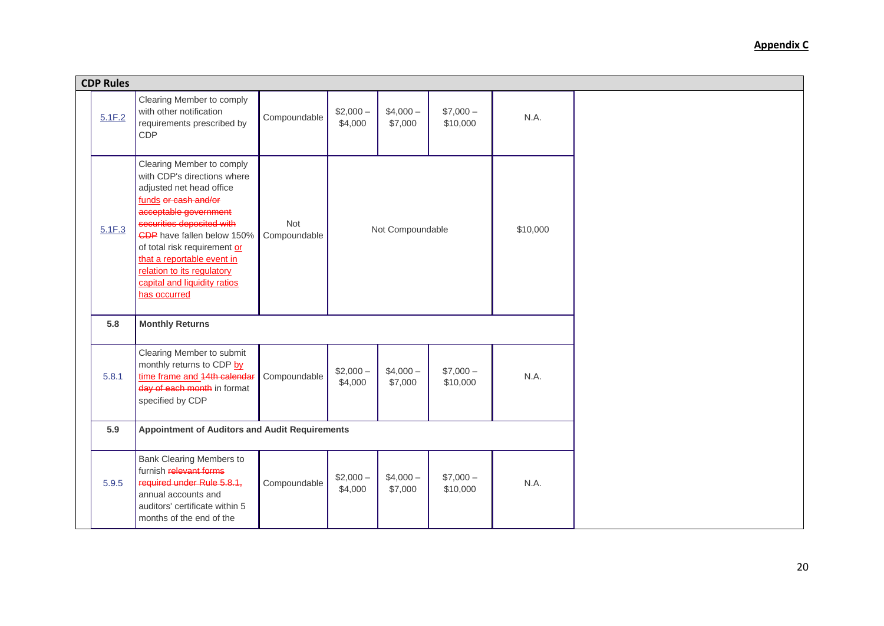| <b>CDP Rules</b> |                                                                                                                                                                                                                                                                                                                                                     |                            |                      |                      |                       |          |  |
|------------------|-----------------------------------------------------------------------------------------------------------------------------------------------------------------------------------------------------------------------------------------------------------------------------------------------------------------------------------------------------|----------------------------|----------------------|----------------------|-----------------------|----------|--|
| 5.1F.2           | Clearing Member to comply<br>with other notification<br>requirements prescribed by<br>CDP                                                                                                                                                                                                                                                           | Compoundable               | $$2,000-$<br>\$4,000 | $$4,000-$<br>\$7,000 | $$7,000-$<br>\$10,000 | N.A.     |  |
| 5.1F.3           | Clearing Member to comply<br>with CDP's directions where<br>adjusted net head office<br>funds or cash and/or<br>acceptable government<br>securities deposited with<br><b>CDP</b> have fallen below 150%<br>of total risk requirement or<br>that a reportable event in<br>relation to its regulatory<br>capital and liquidity ratios<br>has occurred | <b>Not</b><br>Compoundable |                      | Not Compoundable     |                       | \$10,000 |  |
| 5.8              | <b>Monthly Returns</b>                                                                                                                                                                                                                                                                                                                              |                            |                      |                      |                       |          |  |
| 5.8.1            | Clearing Member to submit<br>monthly returns to CDP by<br>time frame and 44th calendar<br>day of each month in format<br>specified by CDP                                                                                                                                                                                                           | Compoundable               | $$2,000-$<br>\$4,000 | $$4,000-$<br>\$7,000 | $$7,000-$<br>\$10,000 | N.A.     |  |
| 5.9              | <b>Appointment of Auditors and Audit Requirements</b>                                                                                                                                                                                                                                                                                               |                            |                      |                      |                       |          |  |
| 5.9.5            | <b>Bank Clearing Members to</b><br>furnish relevant forms<br>required under Rule 5.8.1,<br>annual accounts and<br>auditors' certificate within 5<br>months of the end of the                                                                                                                                                                        | Compoundable               | $$2,000-$<br>\$4,000 | $$4,000-$<br>\$7,000 | $$7,000-$<br>\$10,000 | N.A.     |  |